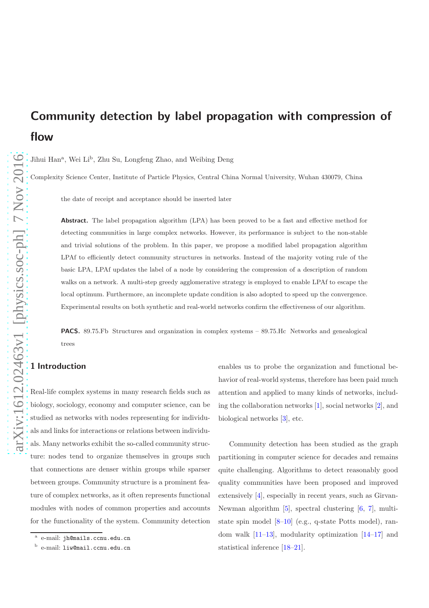# Community detection by label propagation with compression of flow

Jihui Han<sup>a</sup>, Wei Li<sup>b</sup>, Zhu Su, Longfeng Zhao, and Weibing Deng

Complexity Science Center, Institute of Particle Physics, Central China Normal University, Wuhan 430079, China

the date of receipt and acceptance should be inserted later

Abstract. The label propagation algorithm (LPA) has been proved to be a fast and effective method for detecting communities in large complex networks. However, its performance is subject to the non-stable and trivial solutions of the problem. In this paper, we propose a modified label propagation algorithm LPAf to efficiently detect community structures in networks. Instead of the majority voting rule of the basic LPA, LPAf updates the label of a node by considering the compression of a description of random walks on a network. A multi-step greedy agglomerative strategy is employed to enable LPAf to escape the local optimum. Furthermore, an incomplete update condition is also adopted to speed up the convergence. Experimental results on both synthetic and real-world networks confirm the effectiveness of our algorithm.

PACS. 89.75.Fb Structures and organization in complex systems – 89.75.Hc Networks and genealogical trees

# 1 Introduction

Real-life complex systems in many research fields such as biology, sociology, economy and computer science, can be studied as networks with nodes representing for individuals and links for interactions or relations between individuals. Many networks exhibit the so-called community structure: nodes tend to organize themselves in groups such that connections are denser within groups while sparser between groups. Community structure is a prominent feature of complex networks, as it often represents functional modules with nodes of common properties and accounts for the functionality of the system. Community detection

enables us to probe the organization and functional behavior of real-world systems, therefore has been paid much attention and applied to many kinds of networks, including the collaboration networks [\[1\]](#page-12-0), social networks [\[2\]](#page-12-1), and biological networks [\[3\]](#page-12-2), etc.

Community detection has been studied as the graph partitioning in computer science for decades and remains quite challenging. Algorithms to detect reasonably good quality communities have been proposed and improved extensively [\[4\]](#page-12-3), especially in recent years, such as Girvan-Newman algorithm [\[5\]](#page-12-4), spectral clustering [\[6](#page-12-5), [7\]](#page-12-6), multistate spin model [\[8](#page-12-7)[–10](#page-12-8)] (e.g., q-state Potts model), random walk  $[11-13]$ , modularity optimization  $[14-17]$  and statistical inference [\[18](#page-12-13)[–21\]](#page-13-0).

a e-mail: jh@mails.ccnu.edu.cn

**b** e-mail: liw@mail.ccnu.edu.cn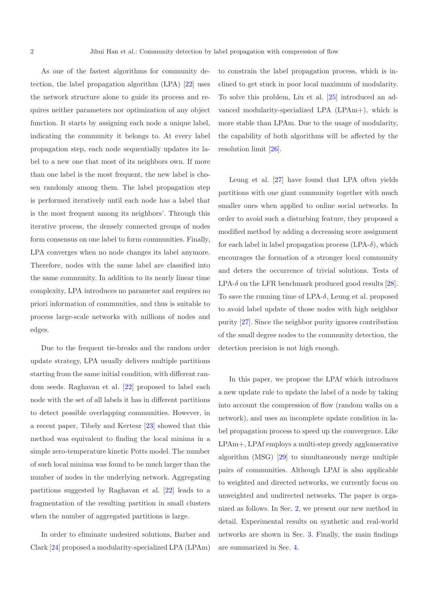As one of the fastest algorithms for community detection, the label propagation algorithm (LPA) [\[22](#page-13-1)] uses the network structure alone to guide its process and requires neither parameters nor optimization of any object function. It starts by assigning each node a unique label, indicating the community it belongs to. At every label propagation step, each node sequentially updates its label to a new one that most of its neighbors own. If more than one label is the most frequent, the new label is chosen randomly among them. The label propagation step is performed iteratively until each node has a label that is the most frequent among its neighbors'. Through this iterative process, the densely connected groups of nodes form consensus on one label to form communities. Finally, LPA converges when no node changes its label anymore. Therefore, nodes with the same label are classified into the same community. In addition to its nearly linear time complexity, LPA introduces no parameter and requires no priori information of communities, and thus is suitable to process large-scale networks with millions of nodes and edges.

Due to the frequent tie-breaks and the random order update strategy, LPA usually delivers multiple partitions starting from the same initial condition, with different random seeds. Raghavan et al. [\[22\]](#page-13-1) proposed to label each node with the set of all labels it has in different partitions to detect possible overlapping communities. However, in a recent paper, Tibely and Kertesz [\[23\]](#page-13-2) showed that this method was equivalent to finding the local minima in a simple zero-temperature kinetic Potts model. The number of such local minima was found to be much larger than the number of nodes in the underlying network. Aggregating partitions suggested by Raghavan et al. [\[22](#page-13-1)] leads to a fragmentation of the resulting partition in small clusters when the number of aggregated partitions is large.

In order to eliminate undesired solutions, Barber and Clark [\[24](#page-13-3)] proposed a modularity-specialized LPA (LPAm) to constrain the label propagation process, which is inclined to get stuck in poor local maximum of modularity. To solve this problem, Liu et al. [\[25\]](#page-13-4) introduced an advanced modularity-specialized LPA (LPAm+), which is more stable than LPAm. Due to the usage of modularity, the capability of both algorithms will be affected by the resolution limit [\[26](#page-13-5)].

Leung et al. [\[27\]](#page-13-6) have found that LPA often yields partitions with one giant community together with much smaller ones when applied to online social networks. In order to avoid such a disturbing feature, they proposed a modified method by adding a decreasing score assignment for each label in label propagation process  $(LPA-<sub>o</sub>)$ , which encourages the formation of a stronger local community and deters the occurrence of trivial solutions. Tests of LPA- $\delta$  on the LFR benchmark produced good results [\[28\]](#page-13-7). To save the running time of LPA- $\delta$ , Leung et al. proposed to avoid label update of those nodes with high neighbor purity [\[27](#page-13-6)]. Since the neighbor purity ignores contribution of the small degree nodes to the community detection, the detection precision is not high enough.

In this paper, we propose the LPAf which introduces a new update rule to update the label of a node by taking into account the compression of flow (random walks on a network), and uses an incomplete update condition in label propagation process to speed up the convergence. Like LPAm+, LPAf employs a multi-step greedy agglomerative algorithm (MSG) [\[29\]](#page-13-8) to simultaneously merge multiple pairs of communities. Although LPAf is also applicable to weighted and directed networks, we currently focus on unweighted and undirected networks. The paper is organized as follows. In Sec. [2,](#page-2-0) we present our new method in detail. Experimental results on synthetic and real-world networks are shown in Sec. [3.](#page-3-0) Finally, the main findings are summarized in Sec. [4.](#page-11-0)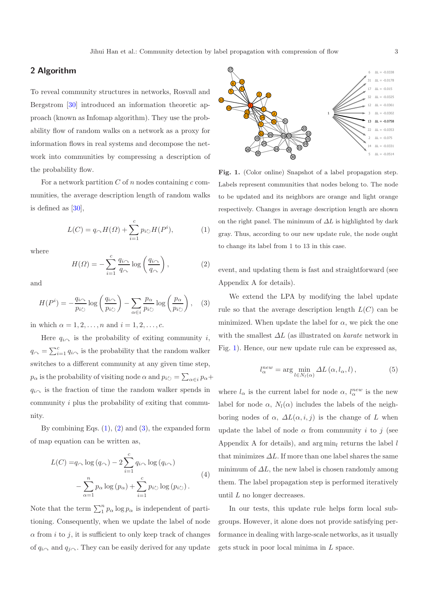## <span id="page-2-0"></span>2 Algorithm

To reveal community structures in networks, Rosvall and Bergstrom [\[30](#page-13-9)] introduced an information theoretic approach (known as Infomap algorithm). They use the probability flow of random walks on a network as a proxy for information flows in real systems and decompose the network into communities by compressing a description of the probability flow.

For a network partition  $C$  of  $n$  nodes containing  $c$  communities, the average description length of random walks is defined as [\[30](#page-13-9)],

<span id="page-2-1"></span>
$$
L(C) = q_{\curvearrowright} H(\Omega) + \sum_{i=1}^{c} p_{i\circlearrowright} H(P^i),\tag{1}
$$

where

<span id="page-2-2"></span>
$$
H(\Omega) = -\sum_{i=1}^{c} \frac{q_{i\gamma}}{q_{\gamma}} \log \left( \frac{q_{i\gamma}}{q_{\gamma}} \right),\tag{2}
$$

and

<span id="page-2-3"></span>
$$
H(P^i) = -\frac{q_{i\wedge}}{p_{i\circlearrowright}} \log \left( \frac{q_{i\wedge}}{p_{i\circlearrowright}} \right) - \sum_{\alpha \in i} \frac{p_{\alpha}}{p_{i\circlearrowright}} \log \left( \frac{p_{\alpha}}{p_{i\circlearrowright}} \right), \quad (3)
$$

in which  $\alpha = 1, 2, ..., n$  and  $i = 1, 2, ..., c$ .

Here  $q_{i\sim}$  is the probability of exiting community i,  $q_{\sim} = \sum_{i=1}^{c} q_{i\sim}$  is the probability that the random walker switches to a different community at any given time step,  $p_{\alpha}$  is the probability of visiting node  $\alpha$  and  $p_{i\circlearrowright} = \sum_{\alpha \in i} p_{\alpha} + p_{\alpha}$  $q_{i\sim}$  is the fraction of time the random walker spends in community i plus the probability of exiting that community.

By combining Eqs.  $(1)$ ,  $(2)$  and  $(3)$ , the expanded form of map equation can be written as,

<span id="page-2-5"></span>
$$
L(C) = q_{\curvearrowright} \log (q_{\curvearrowright}) - 2 \sum_{i=1}^{c} q_{i\curvearrowright} \log (q_{i\curvearrowright})
$$

$$
- \sum_{\alpha=1}^{n} p_{\alpha} \log (p_{\alpha}) + \sum_{i=1}^{c} p_{i\circlearrowright} \log (p_{i\circlearrowright}). \tag{4}
$$

Note that the term  $\sum_{1}^{n} p_{\alpha} \log p_{\alpha}$  is independent of partitioning. Consequently, when we update the label of node  $\alpha$  from *i* to *j*, it is sufficient to only keep track of changes of  $q_{i\gamma}$  and  $q_{i\gamma}$ . They can be easily derived for any update



<span id="page-2-4"></span>Fig. 1. (Color online) Snapshot of a label propagation step. Labels represent communities that nodes belong to. The node to be updated and its neighbors are orange and light orange respectively. Changes in average description length are shown on the right panel. The minimum of  $\Delta L$  is highlighted by dark gray. Thus, according to our new update rule, the node ought to change its label from 1 to 13 in this case.

event, and updating them is fast and straightforward (see Appendix A for details).

We extend the LPA by modifying the label update rule so that the average description length  $L(C)$  can be minimized. When update the label for  $\alpha$ , we pick the one with the smallest ∆L (as illustrated on *karate* network in Fig. [1\)](#page-2-4). Hence, our new update rule can be expressed as,

$$
l_{\alpha}^{new} = \arg\min_{l \in N_l(\alpha)} \Delta L(\alpha, l_\alpha, l), \qquad (5)
$$

where  $l_{\alpha}$  is the current label for node  $\alpha$ ,  $l_{\alpha}^{new}$  is the new label for node  $\alpha$ ,  $N_l(\alpha)$  includes the labels of the neighboring nodes of  $\alpha$ ,  $\Delta L(\alpha, i, j)$  is the change of L when update the label of node  $\alpha$  from community i to j (see Appendix A for details), and  $\arg \min_l$  returns the label l that minimizes  $\Delta L$ . If more than one label shares the same minimum of  $\Delta L$ , the new label is chosen randomly among them. The label propagation step is performed iteratively until L no longer decreases.

In our tests, this update rule helps form local subgroups. However, it alone does not provide satisfying performance in dealing with large-scale networks, as it usually gets stuck in poor local minima in L space.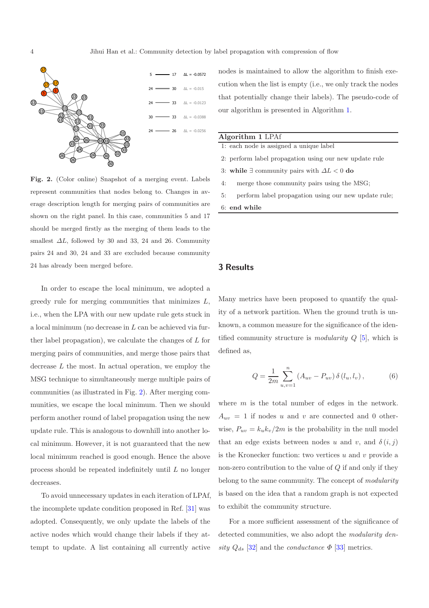

<span id="page-3-1"></span>Fig. 2. (Color online) Snapshot of a merging event. Labels represent communities that nodes belong to. Changes in average description length for merging pairs of communities are shown on the right panel. In this case, communities 5 and 17 should be merged firstly as the merging of them leads to the smallest  $\Delta L$ , followed by 30 and 33, 24 and 26. Community pairs 24 and 30, 24 and 33 are excluded because community 24 has already been merged before.

In order to escape the local minimum, we adopted a greedy rule for merging communities that minimizes  $L$ , i.e., when the LPA with our new update rule gets stuck in a local minimum (no decrease in L can be achieved via further label propagation), we calculate the changes of L for merging pairs of communities, and merge those pairs that decrease  $L$  the most. In actual operation, we employ the MSG technique to simultaneously merge multiple pairs of communities (as illustrated in Fig. [2\)](#page-3-1). After merging communities, we escape the local minimum. Then we should perform another round of label propagation using the new update rule. This is analogous to downhill into another local minimum. However, it is not guaranteed that the new local minimum reached is good enough. Hence the above process should be repeated indefinitely until L no longer decreases.

To avoid unnecessary updates in each iteration of LPAf, the incomplete update condition proposed in Ref. [\[31](#page-13-10)] was adopted. Consequently, we only update the labels of the active nodes which would change their labels if they attempt to update. A list containing all currently active

nodes is maintained to allow the algorithm to finish execution when the list is empty (i.e., we only track the nodes that potentially change their labels). The pseudo-code of our algorithm is presented in Algorithm [1.](#page-3-2)

#### Algorithm 1 LPAf

1: each node is assigned a unique label

- 2: perform label propagation using our new update rule
- 3: while ∃ community pairs with  $\Delta L < 0$  do
- 4: merge those community pairs using the MSG;
- <span id="page-3-2"></span>5: perform label propagation using our new update rule;

6: end while

#### <span id="page-3-0"></span>3 Results

Many metrics have been proposed to quantify the quality of a network partition. When the ground truth is unknown, a common measure for the significance of the identified community structure is *modularity* Q [\[5\]](#page-12-4), which is defined as,

$$
Q = \frac{1}{2m} \sum_{u,v=1}^{n} (A_{uv} - P_{uv}) \, \delta(l_u, l_v) \,, \tag{6}
$$

where  $m$  is the total number of edges in the network.  $A_{uv} = 1$  if nodes u and v are connected and 0 otherwise,  $P_{uv} = k_u k_v / 2m$  is the probability in the null model that an edge exists between nodes u and v, and  $\delta(i, j)$ is the Kronecker function: two vertices  $u$  and  $v$  provide a non-zero contribution to the value of  $Q$  if and only if they belong to the same community. The concept of *modularity* is based on the idea that a random graph is not expected to exhibit the community structure.

For a more sufficient assessment of the significance of detected communities, we also adopt the *modularity den* $sity$   $Q_{ds}$  [\[32\]](#page-13-11) and the *conductance*  $\Phi$  [\[33\]](#page-13-12) metrics.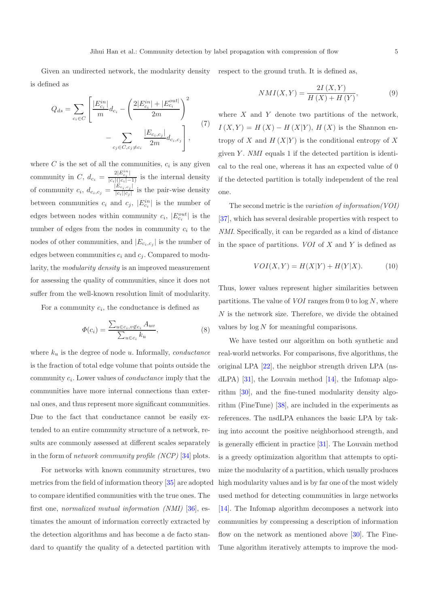Given an undirected network, the modularity density is defined as respect to the ground truth. It is defined as,

$$
Q_{ds} = \sum_{c_i \in C} \left[ \frac{|E_{c_i}^{in}|}{m} d_{c_i} - \left( \frac{2|E_{c_i}^{in}| + |E_{c_i}^{out}|}{2m} \right)^2 - \sum_{c_j \in C, c_j \neq c_i} \frac{|E_{c_i, c_j}|}{2m} d_{c_i, c_j} \right],
$$
\n(7)

where  $C$  is the set of all the communities,  $c_i$  is any given community in C,  $d_{c_i} = \frac{2|E_{c_i}^{i_i}|}{|c_i|(|c_i|-1)}$  is the internal density of community  $c_i, d_{c_i, c_j} = \frac{|E_{c_i, c_j}|}{|c_i||c_i|}$  $\frac{E_{c_i,c_j}}{|c_i||c_j|}$  is the pair-wise density between communities  $c_i$  and  $c_j$ ,  $|E_{c_i}^{in}|$  is the number of edges between nodes within community  $c_i$ ,  $|E_{c_i}^{out}|$  is the number of edges from the nodes in community  $c_i$  to the nodes of other communities, and  $|E_{c_i,c_j}|$  is the number of edges between communities  $c_i$  and  $c_j$ . Compared to modularity, the *modularity density* is an improved measurement for assessing the quality of communities, since it does not suffer from the well-known resolution limit of modularity.

For a community  $c_i$ , the conductance is defined as

$$
\Phi(c_i) = \frac{\sum_{u \in c_i, v \notin c_i} A_{uv}}{\sum_{u \in c_i} k_u},\tag{8}
$$

where  $k_u$  is the degree of node u. Informally, *conductance* is the fraction of total edge volume that points outside the community  $c_i$ . Lower values of *conductance* imply that the communities have more internal connections than external ones, and thus represent more significant communities. Due to the fact that conductance cannot be easily extended to an entire community structure of a network, results are commonly assessed at different scales separately in the form of *network community profile (NCP)* [\[34\]](#page-13-13) plots.

For networks with known community structures, two metrics from the field of information theory [\[35\]](#page-13-14) are adopted to compare identified communities with the true ones. The first one, *normalized mutual information (NMI)* [\[36](#page-13-15)], estimates the amount of information correctly extracted by the detection algorithms and has become a de facto standard to quantify the quality of a detected partition with

$$
NMI(X,Y) = \frac{2I(X,Y)}{H(X) + H(Y)},\tag{9}
$$

where  $X$  and  $Y$  denote two partitions of the network,  $I(X, Y) = H(X) - H(X|Y), H(X)$  is the Shannon entropy of X and  $H(X|Y)$  is the conditional entropy of X given Y. *NMI* equals 1 if the detected partition is identical to the real one, whereas it has an expected value of 0 if the detected partition is totally independent of the real one.

The second metric is the *variation of information(VOI)* [\[37\]](#page-13-16), which has several desirable properties with respect to *NMI*. Specifically, it can be regarded as a kind of distance in the space of partitions. *VOI* of X and Y is defined as

$$
VOI(X,Y) = H(X|Y) + H(Y|X).
$$
 (10)

Thus, lower values represent higher similarities between partitions. The value of *VOI* ranges from 0 to  $\log N$ , where  $N$  is the network size. Therefore, we divide the obtained values by  $\log N$  for meaningful comparisons.

We have tested our algorithm on both synthetic and real-world networks. For comparisons, five algorithms, the original LPA [\[22\]](#page-13-1), the neighbor strength driven LPA (nsdLPA) [\[31\]](#page-13-10), the Louvain method [\[14](#page-12-11)], the Infomap algorithm [\[30\]](#page-13-9), and the fine-tuned modularity density algorithm (FineTune) [\[38\]](#page-13-17), are included in the experiments as references. The nsdLPA enhances the basic LPA by taking into account the positive neighborhood strength, and is generally efficient in practice [\[31\]](#page-13-10). The Louvain method is a greedy optimization algorithm that attempts to optimize the modularity of a partition, which usually produces high modularity values and is by far one of the most widely used method for detecting communities in large networks [\[14\]](#page-12-11). The Infomap algorithm decomposes a network into communities by compressing a description of information flow on the network as mentioned above [\[30\]](#page-13-9). The Fine-Tune algorithm iteratively attempts to improve the mod-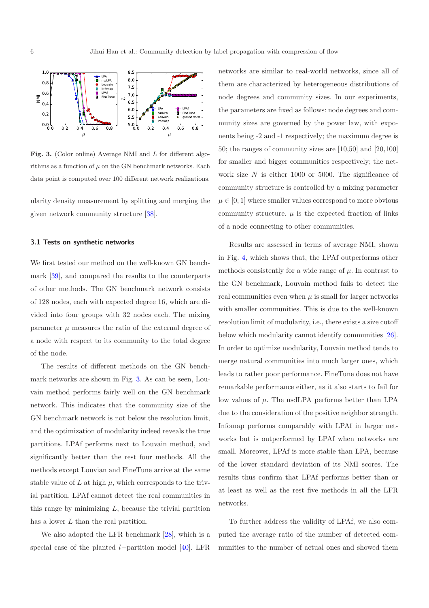

<span id="page-5-0"></span>Fig. 3. (Color online) Average NMI and L for different algorithms as a function of  $\mu$  on the GN benchmark networks. Each data point is computed over 100 different network realizations.

ularity density measurement by splitting and merging the given network community structure [\[38](#page-13-17)].

#### 3.1 Tests on synthetic networks

We first tested our method on the well-known GN benchmark [\[39](#page-13-18)], and compared the results to the counterparts of other methods. The GN benchmark network consists of 128 nodes, each with expected degree 16, which are divided into four groups with 32 nodes each. The mixing parameter  $\mu$  measures the ratio of the external degree of a node with respect to its community to the total degree of the node.

The results of different methods on the GN benchmark networks are shown in Fig. [3.](#page-5-0) As can be seen, Louvain method performs fairly well on the GN benchmark network. This indicates that the community size of the GN benchmark network is not below the resolution limit, and the optimization of modularity indeed reveals the true partitions. LPAf performs next to Louvain method, and significantly better than the rest four methods. All the methods except Louvian and FineTune arrive at the same stable value of  $L$  at high  $\mu$ , which corresponds to the trivial partition. LPAf cannot detect the real communities in this range by minimizing  $L$ , because the trivial partition has a lower L than the real partition.

We also adopted the LFR benchmark [\[28](#page-13-7)], which is a special case of the planted l−partition model [\[40\]](#page-13-19). LFR networks are similar to real-world networks, since all of them are characterized by heterogeneous distributions of node degrees and community sizes. In our experiments, the parameters are fixed as follows: node degrees and community sizes are governed by the power law, with exponents being -2 and -1 respectively; the maximum degree is 50; the ranges of community sizes are [10,50] and [20,100] for smaller and bigger communities respectively; the network size  $N$  is either 1000 or 5000. The significance of community structure is controlled by a mixing parameter  $\mu \in [0, 1]$  where smaller values correspond to more obvious community structure.  $\mu$  is the expected fraction of links of a node connecting to other communities.

Results are assessed in terms of average NMI, shown in Fig. [4,](#page-6-0) which shows that, the LPAf outperforms other methods consistently for a wide range of  $\mu$ . In contrast to the GN benchmark, Louvain method fails to detect the real communities even when  $\mu$  is small for larger networks with smaller communities. This is due to the well-known resolution limit of modularity, i.e., there exists a size cutoff below which modularity cannot identify communities [\[26\]](#page-13-5). In order to optimize modularity, Louvain method tends to merge natural communities into much larger ones, which leads to rather poor performance. FineTune does not have remarkable performance either, as it also starts to fail for low values of  $\mu$ . The nsdLPA performs better than LPA due to the consideration of the positive neighbor strength. Infomap performs comparably with LPAf in larger networks but is outperformed by LPAf when networks are small. Moreover, LPAf is more stable than LPA, because of the lower standard deviation of its NMI scores. The results thus confirm that LPAf performs better than or at least as well as the rest five methods in all the LFR networks.

To further address the validity of LPAf, we also computed the average ratio of the number of detected communities to the number of actual ones and showed them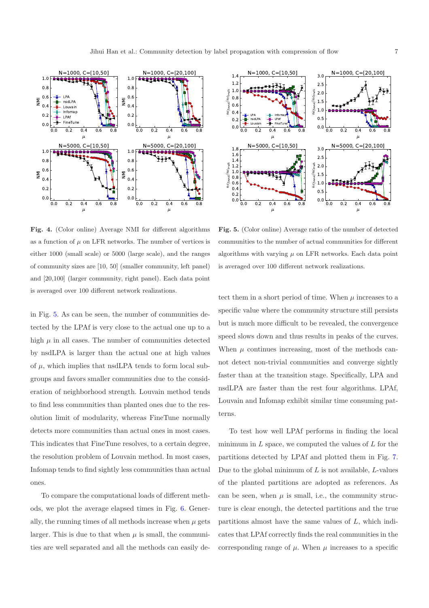

1000  $N=1000. C=120.100$  $1.4$  $3.0$  $1.2$ 2.5  $_{\frac{4}{3}}$  1.0 ist.  $2.0$  $n\alpha_{tr}$  $_{und}/ne_{tr}$  $0.8$  $1.5$ 0.6  $nc_{fn}$ nc<sub>fo</sub>  $1.0$  $0.4$ LPA Infomap 0.5  $0.2$ nsdLPA LPAf Louvain FineTune  $_{0.0}$  $_{0.0}$  $\frac{1}{0.2}$  $0.4$  $0.2$  $0.4$  $0.6$  $0.0$  $0.6$ 0. - -  $\mu$  $\mu$ N=5000, C=[10,50] N=5000, C=[20,100]  $1.8$  $3.0$  $1.6$ 2.5  $1.4$  $_{und}/nc_{truth}$ ith  $1.2$  $2.0$  $_{und}/nc_{tr}$ 1444499  $1.0$  $1.5$  $_{0.8}$ nc<sub>fo</sub> 0.6 nc<sub>fo</sub>  $1.0$  $0.4$  $_{0.5}$  $0.2$  $_{0.0}$  $_{0.0}$  $0.2$  $0.0$  $0.2$  $0.4$  $0.6$  $0.0$  $0.4$  $0.6$  - -  $\mu$  $\mu$ 

<span id="page-6-0"></span>Fig. 4. (Color online) Average NMI for different algorithms as a function of  $\mu$  on LFR networks. The number of vertices is either 1000 (small scale) or 5000 (large scale), and the ranges of community sizes are [10, 50] (smaller community, left panel) and [20,100] (larger community, right panel). Each data point is averaged over 100 different network realizations.

in Fig. [5.](#page-6-1) As can be seen, the number of communities detected by the LPAf is very close to the actual one up to a high  $\mu$  in all cases. The number of communities detected by nsdLPA is larger than the actual one at high values of  $\mu$ , which implies that nsdLPA tends to form local subgroups and favors smaller communities due to the consideration of neighborhood strength. Louvain method tends to find less communities than planted ones due to the resolution limit of modularity, whereas FineTune normally detects more communities than actual ones in most cases. This indicates that FineTune resolves, to a certain degree, the resolution problem of Louvain method. In most cases, Infomap tends to find sightly less communities than actual ones.

To compare the computational loads of different methods, we plot the average elapsed times in Fig. [6.](#page-7-0) Generally, the running times of all methods increase when  $\mu$  gets larger. This is due to that when  $\mu$  is small, the communities are well separated and all the methods can easily de-

<span id="page-6-1"></span>Fig. 5. (Color online) Average ratio of the number of detected communities to the number of actual communities for different algorithms with varying  $\mu$  on LFR networks. Each data point is averaged over 100 different network realizations.

tect them in a short period of time. When  $\mu$  increases to a specific value where the community structure still persists but is much more difficult to be revealed, the convergence speed slows down and thus results in peaks of the curves. When  $\mu$  continues increasing, most of the methods cannot detect non-trivial communities and converge sightly faster than at the transition stage. Specifically, LPA and nsdLPA are faster than the rest four algorithms. LPAf, Louvain and Infomap exhibit similar time consuming patterns.

To test how well LPAf performs in finding the local minimum in  $L$  space, we computed the values of  $L$  for the partitions detected by LPAf and plotted them in Fig. [7.](#page-7-1) Due to the global minimum of  $L$  is not available,  $L$ -values of the planted partitions are adopted as references. As can be seen, when  $\mu$  is small, i.e., the community structure is clear enough, the detected partitions and the true partitions almost have the same values of  $L$ , which indicates that LPAf correctly finds the real communities in the corresponding range of  $\mu$ . When  $\mu$  increases to a specific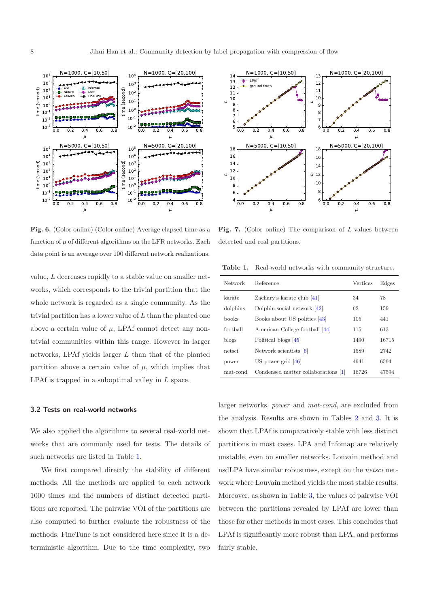

<span id="page-7-0"></span>Fig. 6. (Color online) (Color online) Average elapsed time as a function of  $\mu$  of different algorithms on the LFR networks. Each data point is an average over 100 different network realizations.

value, L decreases rapidly to a stable value on smaller networks, which corresponds to the trivial partition that the whole network is regarded as a single community. As the trivial partition has a lower value of  $L$  than the planted one above a certain value of  $\mu$ , LPAf cannot detect any nontrivial communities within this range. However in larger networks, LPAf yields larger  $L$  than that of the planted partition above a certain value of  $\mu$ , which implies that LPAf is trapped in a suboptimal valley in L space.

#### 3.2 Tests on real-world networks

We also applied the algorithms to several real-world networks that are commonly used for tests. The details of such networks are listed in Table [1.](#page-7-2)

We first compared directly the stability of different methods. All the methods are applied to each network 1000 times and the numbers of distinct detected partitions are reported. The pairwise VOI of the partitions are also computed to further evaluate the robustness of the methods. FineTune is not considered here since it is a deterministic algorithm. Due to the time complexity, two



<span id="page-7-1"></span>Fig. 7. (Color online) The comparison of L-values between detected and real partitions.

<span id="page-7-2"></span>Table 1. Real-world networks with community structure.

| <b>Network</b> | Reference                           | Vertices | Edges |
|----------------|-------------------------------------|----------|-------|
| karate         | Zachary's karate club $[41]$        | 34       | 78    |
| dolphins       | Dolphin social network $[42]$       | 62       | 159   |
| books          | Books about US politics [43]        | 105      | 441   |
| foothall       | American College football [44]      | 115      | 613   |
| blogs          | Political blogs [45]                | 1490     | 16715 |
| netsci         | Network scientists [6]              | 1589     | 2742  |
| power          | US power grid $[46]$                | 4941     | 6594  |
| mat-cond       | Condensed matter collaborations [1] | 16726    | 47594 |

larger networks, *power* and *mat-cond*, are excluded from the analysis. Results are shown in Tables [2](#page-8-0) and [3.](#page-8-1) It is shown that LPAf is comparatively stable with less distinct partitions in most cases. LPA and Infomap are relatively unstable, even on smaller networks. Louvain method and nsdLPA have similar robustness, except on the *netsci* network where Louvain method yields the most stable results. Moreover, as shown in Table [3,](#page-8-1) the values of pairwise VOI between the partitions revealed by LPAf are lower than those for other methods in most cases. This concludes that LPAf is significantly more robust than LPA, and performs fairly stable.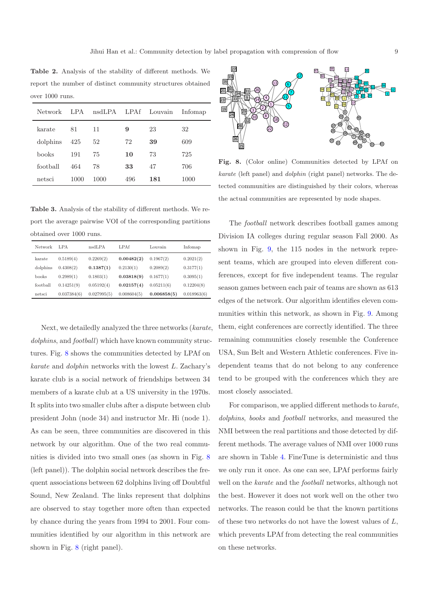<span id="page-8-0"></span>Table 2. Analysis of the stability of different methods. We report the number of distinct community structures obtained over 1000 runs.

| Network  | LPA  | nsdLPA | LPAf | Louvain | Infomap |
|----------|------|--------|------|---------|---------|
| karate   | 81   | 11     | 9    | 23      | 32      |
| dolphins | 425  | 52     | 72   | 39      | 609     |
| books    | 191  | 75     | 10   | 73      | 725     |
| football | 464  | 78     | 33   | 47      | 706     |
| netsci   | 1000 | 1000   | 496  | 181     | 1000    |

<span id="page-8-1"></span>Table 3. Analysis of the stability of different methods. We report the average pairwise VOI of the corresponding partitions obtained over 1000 runs.

| Network  | LPA         | nsdLPA      | LPAf        | Louvain     | Infomap     |
|----------|-------------|-------------|-------------|-------------|-------------|
| karate   | 0.5189(4)   | 0.2269(2)   | 0.00482(2)  | 0.1967(2)   | 0.2021(2)   |
| dolphins | 0.4308(2)   | 0.1387(1)   | 0.2130(1)   | 0.2089(2)   | 0.3177(1)   |
| books    | 0.2989(1)   | 0.1803(1)   | 0.03818(9)  | 0.1677(1)   | 0.3095(1)   |
| football | 0.14251(9)  | 0.05192(4)  | 0.02157(4)  | 0.05211(6)  | 0.12204(8)  |
| netsci   | 0.037384(6) | 0.027995(5) | 0.008604(5) | 0.006858(5) | 0.018963(6) |

Next, we detailedly analyzed the three networks (*karate*, *dolphins*, and *football*) which have known community structures. Fig. [8](#page-8-2) shows the communities detected by LPAf on *karate* and *dolphin* networks with the lowest L. Zachary's karate club is a social network of friendships between 34 members of a karate club at a US university in the 1970s. It splits into two smaller clubs after a dispute between club president John (node 34) and instructor Mr. Hi (node 1). As can be seen, three communities are discovered in this network by our algorithm. One of the two real communities is divided into two small ones (as shown in Fig. [8](#page-8-2) (left panel)). The dolphin social network describes the frequent associations between 62 dolphins living off Doubtful Sound, New Zealand. The links represent that dolphins are observed to stay together more often than expected by chance during the years from 1994 to 2001. Four communities identified by our algorithm in this network are shown in Fig. [8](#page-8-2) (right panel).



<span id="page-8-2"></span>Fig. 8. (Color online) Communities detected by LPAf on karate (left panel) and dolphin (right panel) networks. The detected communities are distinguished by their colors, whereas the actual communities are represented by node shapes.

The *football* network describes football games among Division IA colleges during regular season Fall 2000. As shown in Fig. [9,](#page-9-0) the 115 nodes in the network represent teams, which are grouped into eleven different conferences, except for five independent teams. The regular season games between each pair of teams are shown as 613 edges of the network. Our algorithm identifies eleven communities within this network, as shown in Fig. [9.](#page-9-0) Among them, eight conferences are correctly identified. The three remaining communities closely resemble the Conference USA, Sun Belt and Western Athletic conferences. Five independent teams that do not belong to any conference tend to be grouped with the conferences which they are most closely associated.

For comparison, we applied different methods to *karate*, *dolphins*, *books* and *football* networks, and measured the NMI between the real partitions and those detected by different methods. The average values of NMI over 1000 runs are shown in Table [4.](#page-9-1) FineTune is deterministic and thus we only run it once. As one can see, LPAf performs fairly well on the *karate* and the *football* networks, although not the best. However it does not work well on the other two networks. The reason could be that the known partitions of these two networks do not have the lowest values of  $L$ , which prevents LPAf from detecting the real communities on these networks.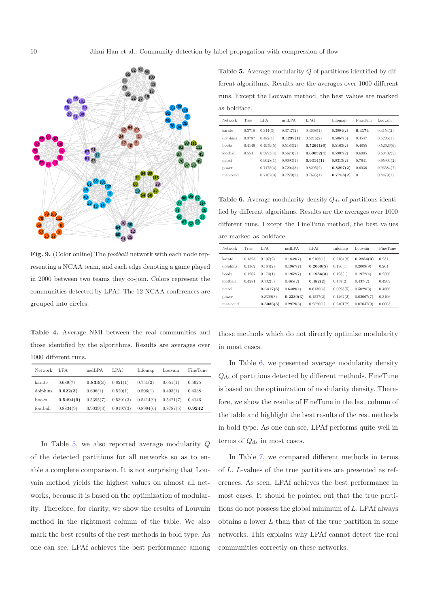

<span id="page-9-0"></span>Fig. 9. (Color online) The football network with each node representing a NCAA team, and each edge denoting a game played in 2000 between two teams they co-join. Colors represent the communities detected by LPAf. The 12 NCAA conferences are grouped into circles.

<span id="page-9-1"></span>Table 4. Average NMI between the real communities and those identified by the algorithms. Results are averages over 1000 different runs.

| Network  | LPA       | nsdLPA    | LPAf      | Infomap   | Louvain   | FineTune |
|----------|-----------|-----------|-----------|-----------|-----------|----------|
| karate   | 0.689(7)  | 0.833(3)  | 0.821(1)  | 0.751(2)  | 0.651(1)  | 0.5925   |
| dolphins | 0.622(3)  | 0.606(1)  | 0.520(1)  | 0.506(1)  | 0.493(1)  | 0.4338   |
| books    | 0.5494(9) | 0.5395(7) | 0.5391(3) | 0.5414(9) | 0.5421(7) | 0.4146   |
| football | 0.8834(9) | 0.9039(3) | 0.9197(3) | 0.8994(6) | 0.8787(5) | 0.9242   |

In Table [5,](#page-9-2) we also reported average modularity Q of the detected partitions for all networks so as to enable a complete comparison. It is not surprising that Louvain method yields the highest values on almost all networks, because it is based on the optimization of modularity. Therefore, for clarity, we show the results of Louvain method in the rightmost column of the table. We also mark the best results of the rest methods in bold type. As one can see, LPAf achieves the best performance among

<span id="page-9-2"></span>Table 5. Average modularity Q of partitions identified by different algorithms. Results are the averages over 1000 different runs. Except the Louvain method, the best values are marked as boldface.

| Network  | True   | LPA       | nsdLPA    | <b>LPAf</b> | Infomap   | FineTune | Louvain    |
|----------|--------|-----------|-----------|-------------|-----------|----------|------------|
| karate   | 0.3718 | 0.344(3)  | 0.3747(2) | 0.4008(1)   | 0.3994(2) | 0.4174   | 0.4154(2)  |
| dolphins | 0.3787 | 0.482(1)  | 0.5239(1) | 0.5216(2)   | 0.5067(5) | 0.4547   | 0.5206(1)  |
| books    | 0.4149 | 0.4959(5) | 0.5183(2) | 0.52641(6)  | 0.5163(2) | 0.4855   | 0.52626(6) |
| football | 0.554  | 0.5893(4) | 0.5673(5) | 0.60052(4)  | 0.5907(2) | 0.6005   | 0.60402(5) |
| netsci   |        | 0.9028(1) | 0.9093(1) | 0.9314(1)   | 0.9313(2) | 0.7641   | 0.95904(2) |
| power    |        | 0.7175(4) | 0.7204(3) | 0.8295(2)   | 0.8297(2) | 0.6036   | 0.93584(7) |
| mat-cond |        | 0.7167(3) | 0.7270(2) | 0.7695(1)   | 0.7758(2) | $\theta$ | 0.8479(1)  |

<span id="page-9-3"></span>Table 6. Average modularity density  $Q_{ds}$  of partitions identified by different algorithms. Results are the averages over 1000 different runs. Except the FineTune method, the best values are marked as boldface.

| Network  | True   | LPA       | nsdLPA    | LPAf      | Infomap   | Louvain    | <b>FineTune</b> |
|----------|--------|-----------|-----------|-----------|-----------|------------|-----------------|
| karate   | 0.1823 | 0.197(2)  | 0.1849(7) | 0.2168(1) | 0.2164(8) | 0.2284(3)  | 0.231           |
| dolphins | 0.1362 | 0.184(2)  | 0.1967(7) | 0.2060(5) | 0.196(1)  | 0.2009(9)  | 0.264           |
| books    | 0.1267 | 0.174(1)  | 0.1952(7) | 0.1986(3) | 0.193(1)  | 0.1972(4)  | 0.2506          |
| football | 0.4281 | 0.432(3)  | 0.465(2)  | 0.482(2)  | 0.457(2)  | 0.437(2)   | 0.4909          |
| netsci   |        | 0.6417(6) | 0.6409(4) | 0.6136(4) | 0.6093(5) | 0.5029(3)  | 0.4866          |
| power    |        | 0.2309(3) | 0.2339(3) | 0.1527(2) | 0.1462(2) | 0.02067(7) | 0.3106          |
| mat-cond |        | 0.3036(3) | 0.2979(3) | 0.2526(1) | 0.2401(2) | 0.07047(9) | 0.0003          |

those methods which do not directly optimize modularity in most cases.

In Table [6,](#page-9-3) we presented average modularity density  $Q_{ds}$  of partitions detected by different methods. FineTune is based on the optimization of modularity density. Therefore, we show the results of FineTune in the last column of the table and highlight the best results of the rest methods in bold type. As one can see, LPAf performs quite well in terms of  $Q_{ds}$  in most cases.

In Table [7,](#page-10-0) we compared different methods in terms of L. L-values of the true partitions are presented as references. As seen, LPAf achieves the best performance in most cases. It should be pointed out that the true partitions do not possess the global minimum of  $L$ . LPAf always obtains a lower  $L$  than that of the true partition in some networks. This explains why LPAf cannot detect the real communities correctly on these networks.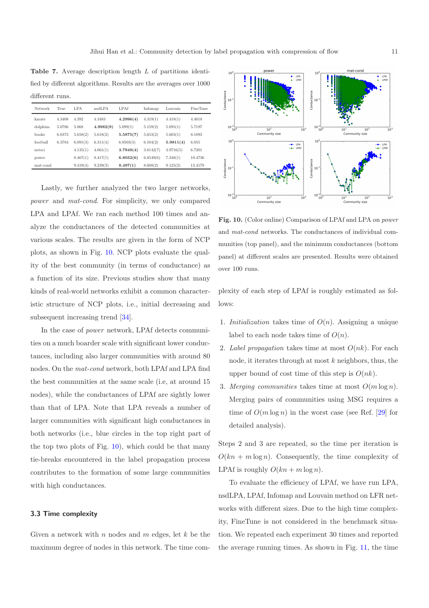<span id="page-10-0"></span>Table 7. Average description length L of partitions identified by different algorithms. Results are the averages over 1000 different runs.

| Network  | True   | LPA      | nsdLPA    | LPAf      | Infomap   | Louvain   | <b>FineTune</b> |
|----------|--------|----------|-----------|-----------|-----------|-----------|-----------------|
| karate   | 4.3408 | 4.392    | 4.3483    | 4.2996(4) | 4.319(1)  | 4.418(1)  | 4.4018          |
| dolphins | 5.0786 | 5.068    | 4.9982(9) | 5.099(1)  | 5.159(2)  | 5.095(1)  | 5.7197          |
| books    | 6.0373 | 5.658(2) | 5.618(2)  | 5.5875(7) | 5.653(2)  | 5.603(1)  | 6.1893          |
| football | 6.3784 | 6.091(3) | 6.311(4)  | 6.0503(3) | 6.104(2)  | 5.9811(4) | 6.055           |
| netsci   |        | 4.135(1) | 4.061(1)  | 3.7949(4) | 3.8142(7) | 3.9716(5) | 6.7201          |
| power    |        | 8.467(1) | 8.417(1)  | 6.8032(6) | 6.8549(6) | 7.348(1)  | 10.4736         |
| mat-cond |        | 9.419(4) | 9.239(3)  | 8.497(1)  | 8.608(2)  | 9.125(2)  | 13.4179         |

Lastly, we further analyzed the two larger networks, *power* and *mat-cond*. For simplicity, we only compared LPA and LPAf. We ran each method 100 times and analyze the conductances of the detected communities at various scales. The results are given in the form of NCP plots, as shown in Fig. [10.](#page-10-1) NCP plots evaluate the quality of the best community (in terms of conductance) as a function of its size. Previous studies show that many kinds of real-world networks exhibit a common characteristic structure of NCP plots, i.e., initial decreasing and subsequent increasing trend [\[34](#page-13-13)].

In the case of *power* network, LPAf detects communities on a much boarder scale with significant lower conductances, including also larger communities with around 80 nodes. On the *mat-cond* network, both LPAf and LPA find the best communities at the same scale (i.e, at around 15 nodes), while the conductances of LPAf are sightly lower than that of LPA. Note that LPA reveals a number of larger communities with significant high conductances in both networks (i.e., blue circles in the top right part of the top two plots of Fig. [10\)](#page-10-1), which could be that many tie-breaks encountered in the label propagation process contributes to the formation of some large communities with high conductances.

#### 3.3 Time complexity

Given a network with n nodes and  $m$  edges, let  $k$  be the maximum degree of nodes in this network. The time com-



<span id="page-10-1"></span>Fig. 10. (Color online) Comparison of LPAf and LPA on power and mat-cond networks. The conductances of individual communities (top panel), and the minimum conductances (bottom panel) at different scales are presented. Results were obtained over 100 runs.

plexity of each step of LPAf is roughly estimated as follows:

- 1. *Initialization* takes time of  $O(n)$ . Assigning a unique label to each node takes time of  $O(n)$ .
- 2. *Label propagation* takes time at most  $O(nk)$ . For each node, it iterates through at most  $k$  neighbors, thus, the upper bound of cost time of this step is  $O(nk)$ .
- 3. *Merging communities* takes time at most  $O(m \log n)$ . Merging pairs of communities using MSG requires a time of  $O(m \log n)$  in the worst case (see Ref. [\[29](#page-13-8)] for detailed analysis).

Steps 2 and 3 are repeated, so the time per iteration is  $O(kn + m \log n)$ . Consequently, the time complexity of LPAf is roughly  $O(kn + m \log n)$ .

To evaluate the efficiency of LPAf, we have run LPA, nsdLPA, LPAf, Infomap and Louvain method on LFR networks with different sizes. Due to the high time complexity, FineTune is not considered in the benchmark situation. We repeated each experiment 30 times and reported the average running times. As shown in Fig. [11,](#page-11-1) the time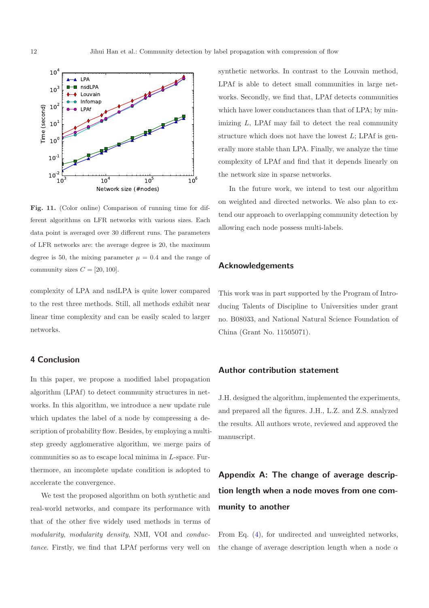

<span id="page-11-1"></span>Fig. 11. (Color online) Comparison of running time for different algorithms on LFR networks with various sizes. Each data point is averaged over 30 different runs. The parameters of LFR networks are: the average degree is 20, the maximum degree is 50, the mixing parameter  $\mu = 0.4$  and the range of community sizes  $C = [20, 100]$ .

complexity of LPA and nsdLPA is quite lower compared to the rest three methods. Still, all methods exhibit near linear time complexity and can be easily scaled to larger networks.

# <span id="page-11-0"></span>4 Conclusion

In this paper, we propose a modified label propagation algorithm (LPAf) to detect community structures in networks. In this algorithm, we introduce a new update rule which updates the label of a node by compressing a description of probability flow. Besides, by employing a multistep greedy agglomerative algorithm, we merge pairs of communities so as to escape local minima in L-space. Furthermore, an incomplete update condition is adopted to accelerate the convergence.

We test the proposed algorithm on both synthetic and real-world networks, and compare its performance with that of the other five widely used methods in terms of *modularity*, *modularity density*, NMI, VOI and *conductance*. Firstly, we find that LPAf performs very well on

synthetic networks. In contrast to the Louvain method, LPAf is able to detect small communities in large networks. Secondly, we find that, LPAf detects communities which have lower conductances than that of LPA; by minimizing L, LPAf may fail to detect the real community structure which does not have the lowest  $L$ ; LPAf is generally more stable than LPA. Finally, we analyze the time complexity of LPAf and find that it depends linearly on the network size in sparse networks.

In the future work, we intend to test our algorithm on weighted and directed networks. We also plan to extend our approach to overlapping community detection by allowing each node possess multi-labels.

# Acknowledgements

This work was in part supported by the Program of Introducing Talents of Discipline to Universities under grant no. B08033, and National Natural Science Foundation of China (Grant No. 11505071).

## Author contribution statement

J.H. designed the algorithm, implemented the experiments, and prepared all the figures. J.H., L.Z. and Z.S. analyzed the results. All authors wrote, reviewed and approved the manuscript.

# Appendix A: The change of average description length when a node moves from one community to another

From Eq. [\(4\)](#page-2-5), for undirected and unweighted networks, the change of average description length when a node  $\alpha$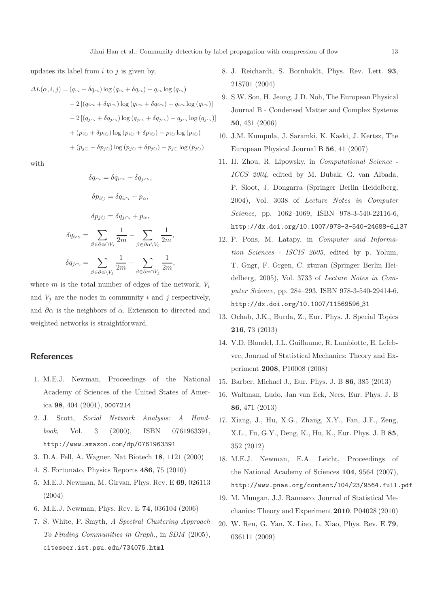updates its label from  $i$  to  $j$  is given by,

$$
\Delta L(\alpha, i, j) = (q_{\curvearrowright} + \delta q_{\curvearrowright}) \log (q_{\curvearrowright} + \delta q_{\curvearrowright}) - q_{\curvearrowright} \log (q_{\curvearrowright})
$$
  
\n
$$
- 2 [(q_{i\curvearrowright} + \delta q_{i\curvearrowright}) \log (q_{i\curvearrowright} + \delta q_{i\curvearrowright}) - q_{i\curvearrowright} \log (q_{i\curvearrowleft})]
$$
  
\n
$$
- 2 [(q_{j\curvearrowright} + \delta q_{j\curvearrowright}) \log (q_{j\curvearrowright} + \delta q_{j\curvearrowright}) - q_{j\curvearrowright} \log (q_{j\curvearrowleft})]
$$
  
\n
$$
+ (p_{i\circlearrowright} + \delta p_{i\circlearrowright}) \log (p_{i\circlearrowright} + \delta p_{j\circlearrowright}) - p_{j\circlearrowright} \log (p_{j\circlearrowright})
$$
  
\n
$$
+ (p_{j\circlearrowright} + \delta p_{j\circlearrowright}) \log (p_{j\circlearrowright} + \delta p_{j\circlearrowright}) - p_{j\circlearrowright} \log (p_{j\circlearrowright})
$$

with

$$
\delta q_{\curvearrowright} = \delta q_{i\curvearrowright} + \delta q_{j\curvearrowright},
$$
  
\n
$$
\delta p_{i\circlearrowright} = \delta q_{i\curvearrowright} - p_{\alpha},
$$
  
\n
$$
\delta p_{j\circlearrowright} = \delta q_{j\curvearrowright} + p_{\alpha},
$$
  
\n
$$
\delta q_{i\curvearrowright} = \sum_{\beta \in \partial \alpha \cap V_i} \frac{1}{2m} - \sum_{\beta \in \partial \alpha \setminus V_i} \frac{1}{2m},
$$
  
\n
$$
\delta q_{j\curvearrowright} = \sum_{\beta \in \partial \alpha \setminus V_j} \frac{1}{2m} - \sum_{\beta \in \partial \alpha \cap V_j} \frac{1}{2m},
$$

where  $m$  is the total number of edges of the network,  $V_i$ and  $V_i$  are the nodes in community i and j respectively, and  $\partial \alpha$  is the neighbors of  $\alpha$ . Extension to directed and weighted networks is straightforward.

#### References

- <span id="page-12-0"></span>1. M.E.J. Newman, Proceedings of the National Academy of Sciences of the United States of America 98, 404 (2001), 0007214
- <span id="page-12-1"></span>2. J. Scott, *Social Network Analysis: A Handbook*, Vol. 3 (2000), ISBN 0761963391, http://www.amazon.com/dp/0761963391
- <span id="page-12-2"></span>3. D.A. Fell, A. Wagner, Nat Biotech 18, 1121 (2000)
- <span id="page-12-3"></span>4. S. Fortunato, Physics Reports 486, 75 (2010)
- <span id="page-12-4"></span>5. M.E.J. Newman, M. Girvan, Phys. Rev. E 69, 026113 (2004)
- <span id="page-12-5"></span>6. M.E.J. Newman, Phys. Rev. E 74, 036104 (2006)
- <span id="page-12-6"></span>7. S. White, P. Smyth, *A Spectral Clustering Approach To Finding Communities in Graph.*, in *SDM* (2005), citeseer.ist.psu.edu/734075.html
- <span id="page-12-7"></span>8. J. Reichardt, S. Bornholdt, Phys. Rev. Lett. 93, 218701 (2004)
- 9. S.W. Son, H. Jeong, J.D. Noh, The European Physical Journal B - Condensed Matter and Complex Systems 50, 431 (2006)
- <span id="page-12-8"></span>10. J.M. Kumpula, J. Saramki, K. Kaski, J. Kertsz, The European Physical Journal B 56, 41 (2007)
- <span id="page-12-9"></span>11. H. Zhou, R. Lipowsky, in *Computational Science - ICCS 2004*, edited by M. Bubak, G. van Albada, P. Sloot, J. Dongarra (Springer Berlin Heidelberg, 2004), Vol. 3038 of *Lecture Notes in Computer Science*, pp. 1062–1069, ISBN 978-3-540-22116-6, http://dx.doi.org/10.1007/978-3-540-24688-6 137
- 12. P. Pons, M. Latapy, in *Computer and Information Sciences - ISCIS 2005*, edited by p. Yolum, T. Gngr, F. Grgen, C. zturan (Springer Berlin Heidelberg, 2005), Vol. 3733 of *Lecture Notes in Computer Science*, pp. 284–293, ISBN 978-3-540-29414-6, http://dx.doi.org/10.1007/11569596 31
- <span id="page-12-10"></span>13. Ochab, J.K., Burda, Z., Eur. Phys. J. Special Topics 216, 73 (2013)
- <span id="page-12-11"></span>14. V.D. Blondel, J.L. Guillaume, R. Lambiotte, E. Lefebvre, Journal of Statistical Mechanics: Theory and Experiment 2008, P10008 (2008)
- 15. Barber, Michael J., Eur. Phys. J. B 86, 385 (2013)
- 16. Waltman, Ludo, Jan van Eck, Nees, Eur. Phys. J. B 86, 471 (2013)
- <span id="page-12-12"></span>17. Xiang, J., Hu, X.G., Zhang, X.Y., Fan, J.F., Zeng, X.L., Fu, G.Y., Deng, K., Hu, K., Eur. Phys. J. B 85, 352 (2012)
- <span id="page-12-13"></span>18. M.E.J. Newman, E.A. Leicht, Proceedings of the National Academy of Sciences 104, 9564 (2007), http://www.pnas.org/content/104/23/9564.full.pdf
- 19. M. Mungan, J.J. Ramasco, Journal of Statistical Mechanics: Theory and Experiment 2010, P04028 (2010)
- 20. W. Ren, G. Yan, X. Liao, L. Xiao, Phys. Rev. E 79, 036111 (2009)